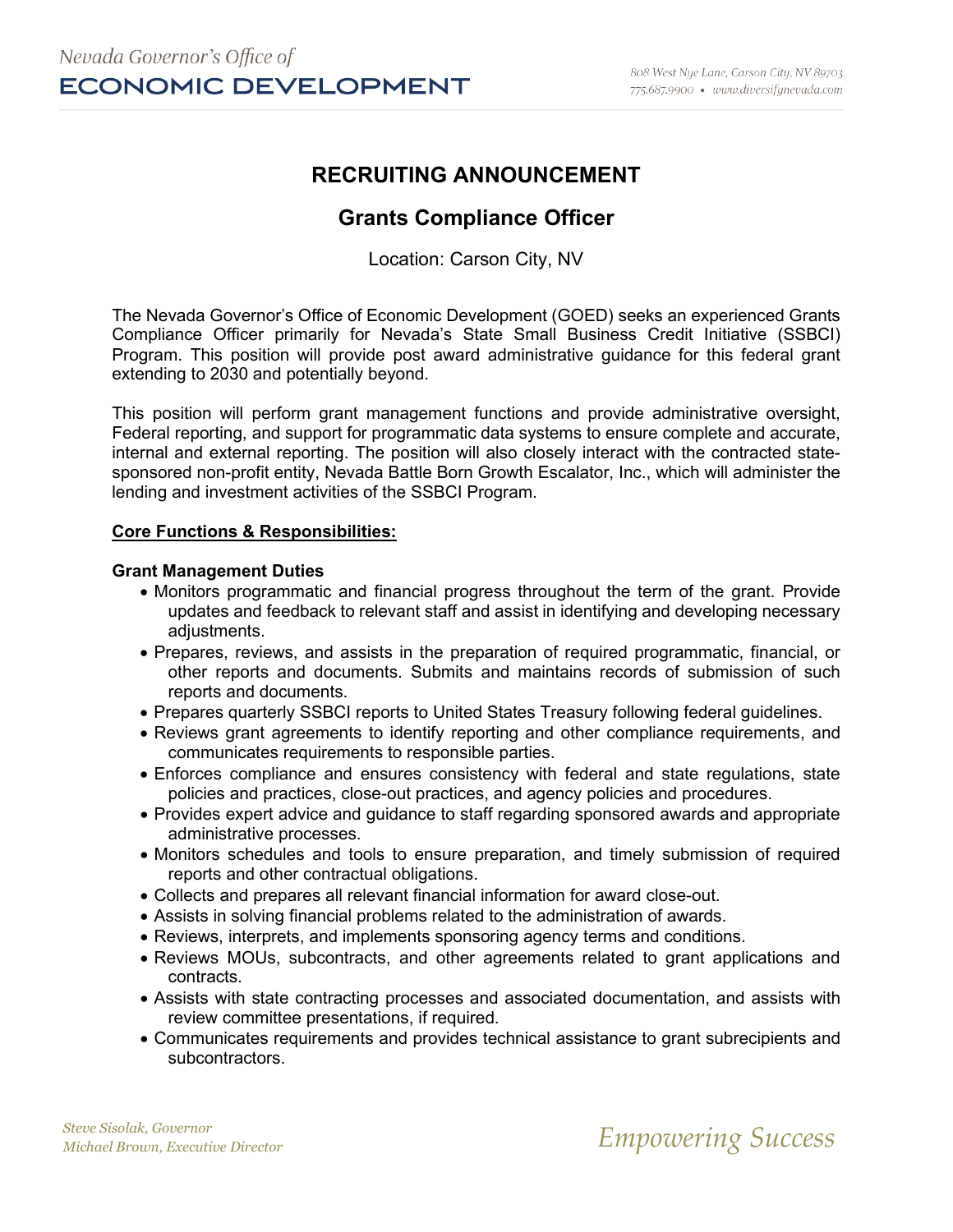# **RECRUITING ANNOUNCEMENT**

# **Grants Compliance Officer**

Location: Carson City, NV

The Nevada Governor's Office of Economic Development (GOED) seeks an experienced Grants Compliance Officer primarily for Nevada's State Small Business Credit Initiative (SSBCI) Program. This position will provide post award administrative guidance for this federal grant extending to 2030 and potentially beyond.

This position will perform grant management functions and provide administrative oversight, Federal reporting, and support for programmatic data systems to ensure complete and accurate, internal and external reporting. The position will also closely interact with the contracted statesponsored non-profit entity, Nevada Battle Born Growth Escalator, Inc., which will administer the lending and investment activities of the SSBCI Program.

#### **Core Functions & Responsibilities:**

#### **Grant Management Duties**

- Monitors programmatic and financial progress throughout the term of the grant. Provide updates and feedback to relevant staff and assist in identifying and developing necessary adjustments.
- Prepares, reviews, and assists in the preparation of required programmatic, financial, or other reports and documents. Submits and maintains records of submission of such reports and documents.
- Prepares quarterly SSBCI reports to United States Treasury following federal guidelines.
- Reviews grant agreements to identify reporting and other compliance requirements, and communicates requirements to responsible parties.
- Enforces compliance and ensures consistency with federal and state regulations, state policies and practices, close-out practices, and agency policies and procedures.
- Provides expert advice and guidance to staff regarding sponsored awards and appropriate administrative processes.
- Monitors schedules and tools to ensure preparation, and timely submission of required reports and other contractual obligations.
- Collects and prepares all relevant financial information for award close-out.
- Assists in solving financial problems related to the administration of awards.
- Reviews, interprets, and implements sponsoring agency terms and conditions.
- Reviews MOUs, subcontracts, and other agreements related to grant applications and contracts.
- Assists with state contracting processes and associated documentation, and assists with review committee presentations, if required.
- Communicates requirements and provides technical assistance to grant subrecipients and subcontractors.

*Steve Sisolak, Governor*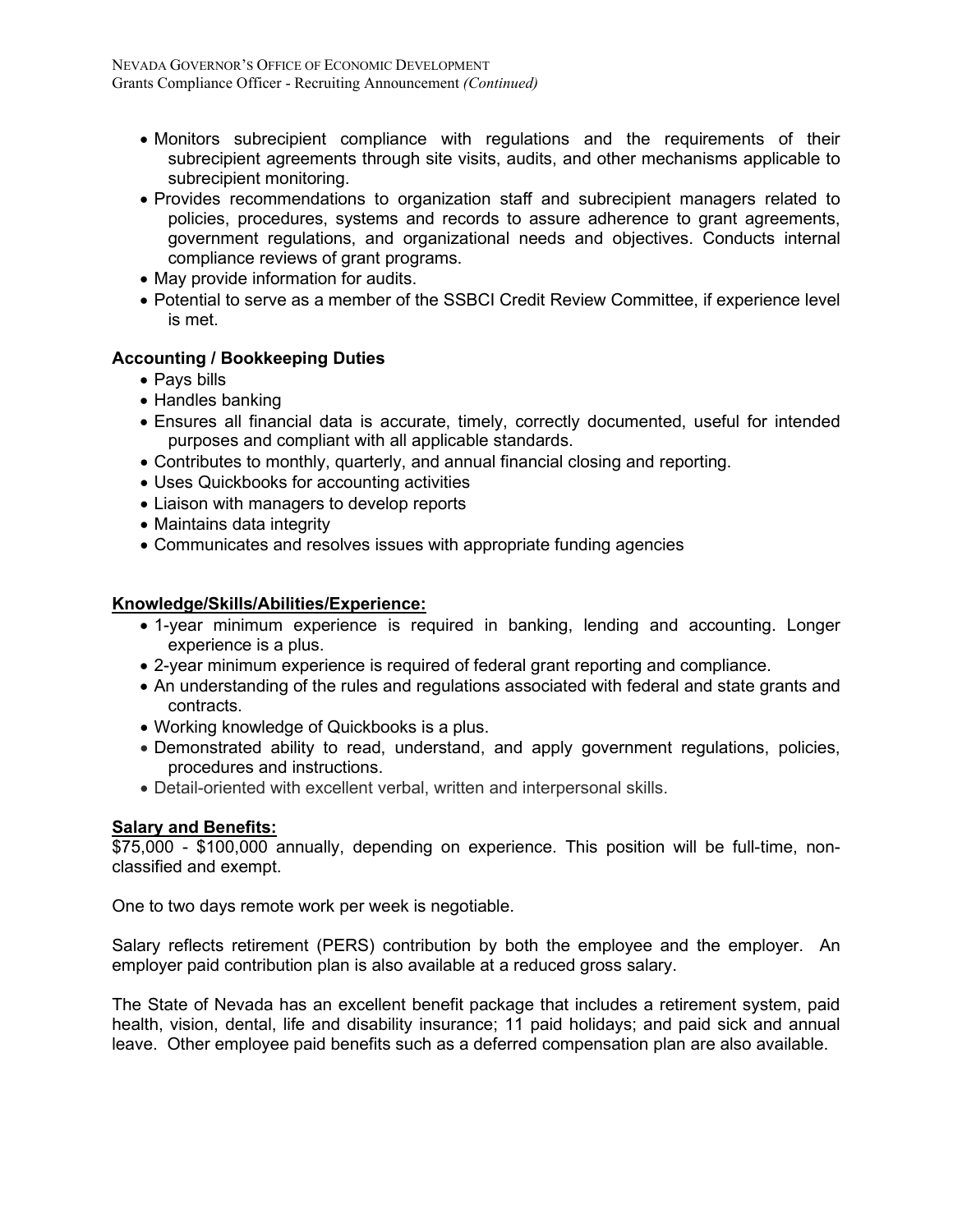- Monitors subrecipient compliance with regulations and the requirements of their subrecipient agreements through site visits, audits, and other mechanisms applicable to subrecipient monitoring.
- Provides recommendations to organization staff and subrecipient managers related to policies, procedures, systems and records to assure adherence to grant agreements, government regulations, and organizational needs and objectives. Conducts internal compliance reviews of grant programs.
- May provide information for audits.
- Potential to serve as a member of the SSBCI Credit Review Committee, if experience level is met.

# **Accounting / Bookkeeping Duties**

- Pays bills
- Handles banking
- Ensures all financial data is accurate, timely, correctly documented, useful for intended purposes and compliant with all applicable standards.
- Contributes to monthly, quarterly, and annual financial closing and reporting.
- Uses Quickbooks for accounting activities
- Liaison with managers to develop reports
- Maintains data integrity
- Communicates and resolves issues with appropriate funding agencies

### **Knowledge/Skills/Abilities/Experience:**

- 1-year minimum experience is required in banking, lending and accounting. Longer experience is a plus.
- 2-year minimum experience is required of federal grant reporting and compliance.
- An understanding of the rules and regulations associated with federal and state grants and contracts.
- Working knowledge of Quickbooks is a plus.
- Demonstrated ability to read, understand, and apply government regulations, policies, procedures and instructions.
- Detail-oriented with excellent verbal, written and interpersonal skills.

## **Salary and Benefits:**

**EXALACT 2000 - \$100,000** annually, depending on experience. This position will be full-time, nonclassified and exempt.

One to two days remote work per week is negotiable.

Salary reflects retirement (PERS) contribution by both the employee and the employer. An employer paid contribution plan is also available at a reduced gross salary.

The State of Nevada has an excellent benefit package that includes a retirement system, paid health, vision, dental, life and disability insurance; 11 paid holidays; and paid sick and annual leave. Other employee paid benefits such as a deferred compensation plan are also available.